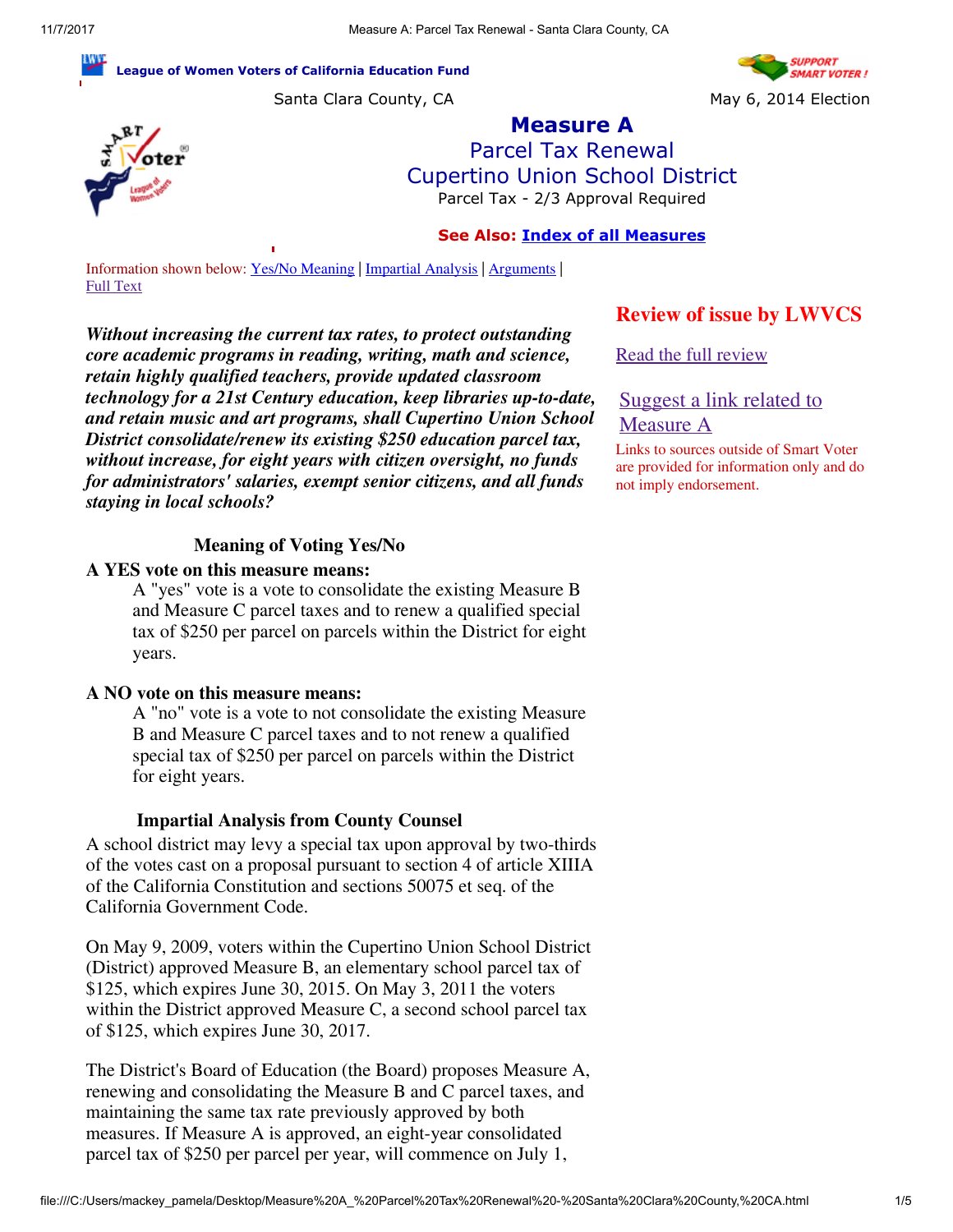#### League of Women Voters of California Education Fund

Santa Clara County, CA May 6, 2014 Election





Measure A Parcel Tax Renewal Cupertino Union School District Parcel Tax - 2/3 Approval Required

### See Also: [Index of all Measures](http://www.smartvoter.org/2014/05/06/ca/scl/meas/)

Information shown below: [Yes/No Meaning](file:///C:/Users/mackey_pamela/Desktop/Pam%20Mackey/CBO%20Committee) | [Impartial Analysis](file:///C:/Users/mackey_pamela/Desktop/Pam%20Mackey/CBO%20Committee) | [Arguments](file:///C:/Users/mackey_pamela/Desktop/Pam%20Mackey/CBO%20Committee) | [Full Text](file:///C:/Users/mackey_pamela/Desktop/Pam%20Mackey/CBO%20Committee)

*Without increasing the current tax rates, to protect outstanding core academic programs in reading, writing, math and science, retain highly qualified teachers, provide updated classroom technology for a 21st Century education, keep libraries up-to-date, and retain music and art programs, shall Cupertino Union School District consolidate/renew its existing \$250 education parcel tax, without increase, for eight years with citizen oversight, no funds for administrators' salaries, exempt senior citizens, and all funds staying in local schools?*

### Meaning of Voting Yes/No

#### A YES vote on this measure means:

A "yes" vote is a vote to consolidate the existing Measure B and Measure C parcel taxes and to renew a qualified special tax of \$250 per parcel on parcels within the District for eight years.

#### A NO vote on this measure means:

A "no" vote is a vote to not consolidate the existing Measure B and Measure C parcel taxes and to not renew a qualified special tax of \$250 per parcel on parcels within the District for eight years.

#### Impartial Analysis from County Counsel

A school district may levy a special tax upon approval by two-thirds of the votes cast on a proposal pursuant to section 4 of article XIIIA of the California Constitution and sections 50075 et seq. of the California Government Code.

On May 9, 2009, voters within the Cupertino Union School District (District) approved Measure B, an elementary school parcel tax of \$125, which expires June 30, 2015. On May 3, 2011 the voters within the District approved Measure C, a second school parcel tax of \$125, which expires June 30, 2017.

The District's Board of Education (the Board) proposes Measure A, renewing and consolidating the Measure B and C parcel taxes, and maintaining the same tax rate previously approved by both measures. If Measure A is approved, an eight-year consolidated parcel tax of \$250 per parcel per year, will commence on July 1,

### Review of issue by LWVCS

[Read the full review](http://www.cs.ca.lwvnet.org/files/CupertinoUnionParcelTax.pdf)

[Suggest a link related to](http://www.smartvoter.org/voter/suggestlink.cgi/2014/05/06/ca/scl/meas/A) Measure A

Links to sources outside of Smart Voter are provided for information only and do not imply endorsement.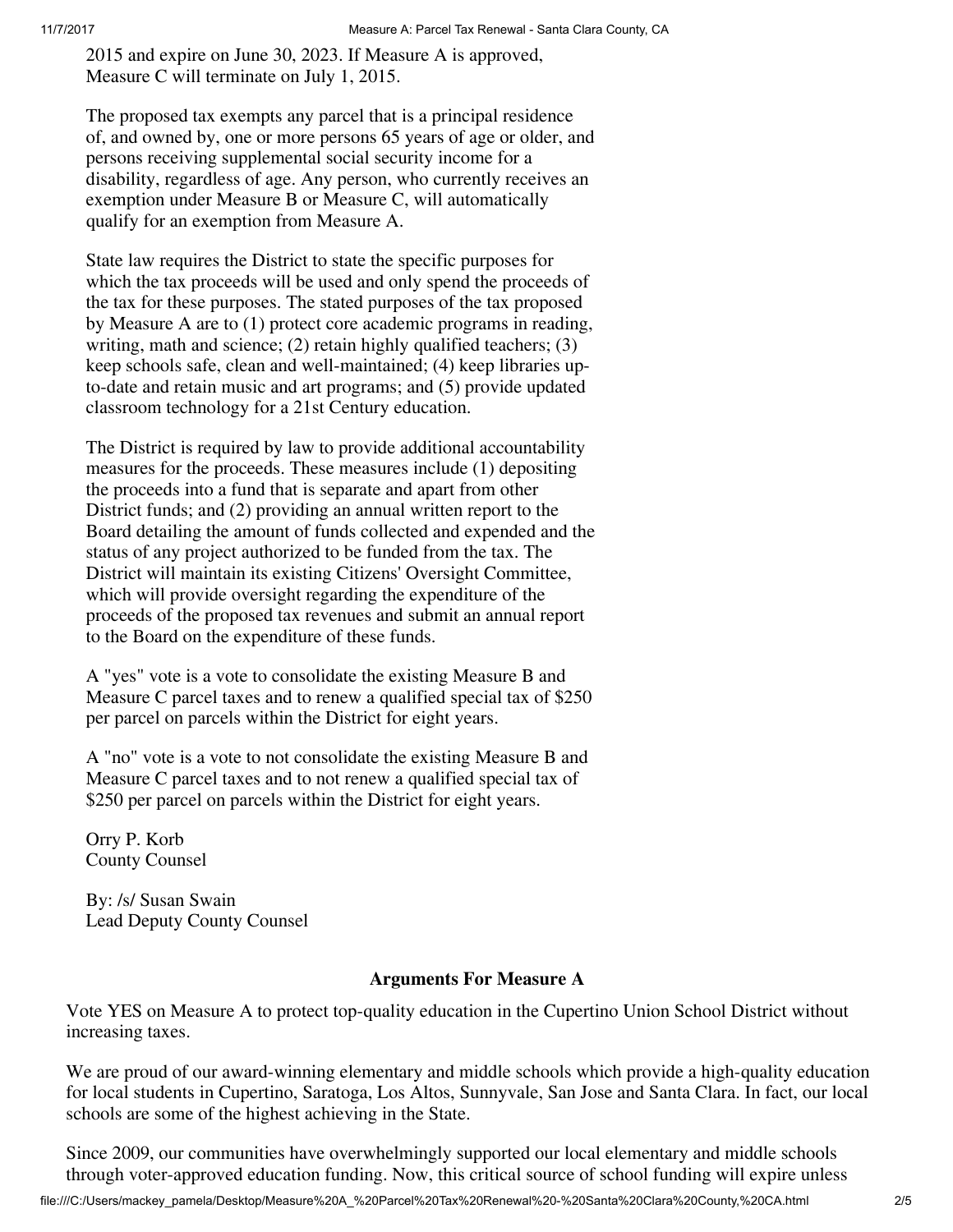2015 and expire on June 30, 2023. If Measure A is approved, Measure C will terminate on July 1, 2015.

The proposed tax exempts any parcel that is a principal residence of, and owned by, one or more persons 65 years of age or older, and persons receiving supplemental social security income for a disability, regardless of age. Any person, who currently receives an exemption under Measure B or Measure C, will automatically qualify for an exemption from Measure A.

State law requires the District to state the specific purposes for which the tax proceeds will be used and only spend the proceeds of the tax for these purposes. The stated purposes of the tax proposed by Measure A are to (1) protect core academic programs in reading, writing, math and science; (2) retain highly qualified teachers; (3) keep schools safe, clean and well-maintained; (4) keep libraries upto-date and retain music and art programs; and (5) provide updated classroom technology for a 21st Century education.

The District is required by law to provide additional accountability measures for the proceeds. These measures include (1) depositing the proceeds into a fund that is separate and apart from other District funds; and (2) providing an annual written report to the Board detailing the amount of funds collected and expended and the status of any project authorized to be funded from the tax. The District will maintain its existing Citizens' Oversight Committee, which will provide oversight regarding the expenditure of the proceeds of the proposed tax revenues and submit an annual report to the Board on the expenditure of these funds.

A "yes" vote is a vote to consolidate the existing Measure B and Measure C parcel taxes and to renew a qualified special tax of \$250 per parcel on parcels within the District for eight years.

A "no" vote is a vote to not consolidate the existing Measure B and Measure C parcel taxes and to not renew a qualified special tax of \$250 per parcel on parcels within the District for eight years.

Orry P. Korb County Counsel

By: /s/ Susan Swain Lead Deputy County Counsel

### Arguments For Measure A

Vote YES on Measure A to protect top-quality education in the Cupertino Union School District without increasing taxes.

We are proud of our award-winning elementary and middle schools which provide a high-quality education for local students in Cupertino, Saratoga, Los Altos, Sunnyvale, San Jose and Santa Clara. In fact, our local schools are some of the highest achieving in the State.

Since 2009, our communities have overwhelmingly supported our local elementary and middle schools through voter-approved education funding. Now, this critical source of school funding will expire unless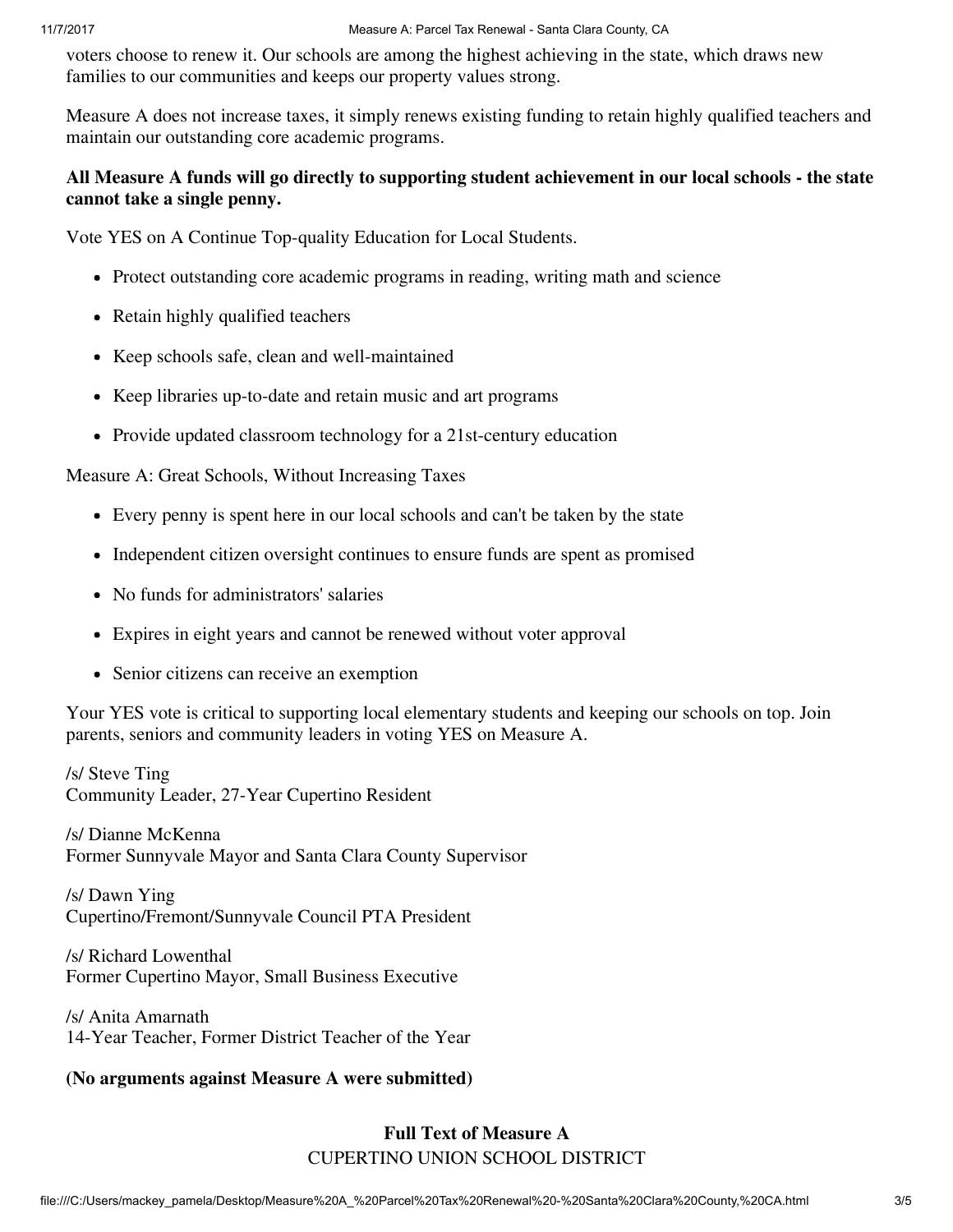voters choose to renew it. Our schools are among the highest achieving in the state, which draws new families to our communities and keeps our property values strong.

Measure A does not increase taxes, it simply renews existing funding to retain highly qualified teachers and maintain our outstanding core academic programs.

### All Measure A funds will go directly to supporting student achievement in our local schools - the state cannot take a single penny.

Vote YES on A Continue Top-quality Education for Local Students.

- Protect outstanding core academic programs in reading, writing math and science
- Retain highly qualified teachers
- Keep schools safe, clean and well-maintained
- Keep libraries up-to-date and retain music and art programs
- Provide updated classroom technology for a 21st-century education

### Measure A: Great Schools, Without Increasing Taxes

- Every penny is spent here in our local schools and can't be taken by the state
- Independent citizen oversight continues to ensure funds are spent as promised
- No funds for administrators' salaries
- Expires in eight years and cannot be renewed without voter approval
- Senior citizens can receive an exemption

Your YES vote is critical to supporting local elementary students and keeping our schools on top. Join parents, seniors and community leaders in voting YES on Measure A.

/s/ Steve Ting Community Leader, 27-Year Cupertino Resident

/s/ Dianne McKenna Former Sunnyvale Mayor and Santa Clara County Supervisor

/s/ Dawn Ying Cupertino/Fremont/Sunnyvale Council PTA President

/s/ Richard Lowenthal Former Cupertino Mayor, Small Business Executive

/s/ Anita Amarnath 14-Year Teacher, Former District Teacher of the Year

# (No arguments against Measure A were submitted)

# Full Text of Measure A CUPERTINO UNION SCHOOL DISTRICT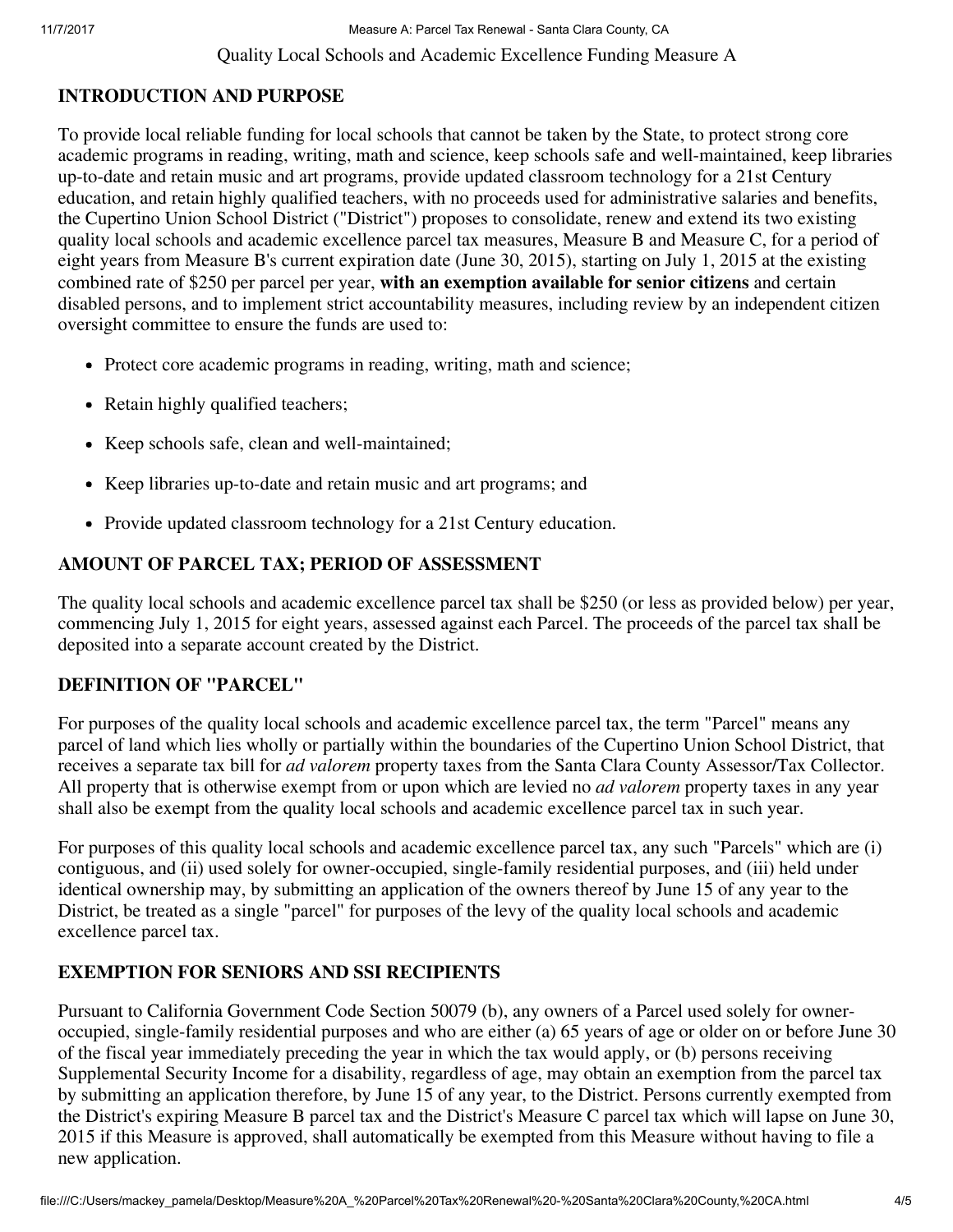11/7/2017 Measure A: Parcel Tax Renewal - Santa Clara County, CA Quality Local Schools and Academic Excellence Funding Measure A

# INTRODUCTION AND PURPOSE

To provide local reliable funding for local schools that cannot be taken by the State, to protect strong core academic programs in reading, writing, math and science, keep schools safe and well-maintained, keep libraries up-to-date and retain music and art programs, provide updated classroom technology for a 21st Century education, and retain highly qualified teachers, with no proceeds used for administrative salaries and benefits, the Cupertino Union School District ("District") proposes to consolidate, renew and extend its two existing quality local schools and academic excellence parcel tax measures, Measure B and Measure C, for a period of eight years from Measure B's current expiration date (June 30, 2015), starting on July 1, 2015 at the existing combined rate of \$250 per parcel per year, with an exemption available for senior citizens and certain disabled persons, and to implement strict accountability measures, including review by an independent citizen oversight committee to ensure the funds are used to:

- Protect core academic programs in reading, writing, math and science;
- Retain highly qualified teachers;
- Keep schools safe, clean and well-maintained;
- Keep libraries up-to-date and retain music and art programs; and
- Provide updated classroom technology for a 21st Century education.

# AMOUNT OF PARCEL TAX; PERIOD OF ASSESSMENT

The quality local schools and academic excellence parcel tax shall be \$250 (or less as provided below) per year, commencing July 1, 2015 for eight years, assessed against each Parcel. The proceeds of the parcel tax shall be deposited into a separate account created by the District.

# DEFINITION OF "PARCEL"

For purposes of the quality local schools and academic excellence parcel tax, the term "Parcel" means any parcel of land which lies wholly or partially within the boundaries of the Cupertino Union School District, that receives a separate tax bill for *ad valorem* property taxes from the Santa Clara County Assessor/Tax Collector. All property that is otherwise exempt from or upon which are levied no *ad valorem* property taxes in any year shall also be exempt from the quality local schools and academic excellence parcel tax in such year.

For purposes of this quality local schools and academic excellence parcel tax, any such "Parcels" which are (i) contiguous, and (ii) used solely for owner-occupied, single-family residential purposes, and (iii) held under identical ownership may, by submitting an application of the owners thereof by June 15 of any year to the District, be treated as a single "parcel" for purposes of the levy of the quality local schools and academic excellence parcel tax.

# EXEMPTION FOR SENIORS AND SSI RECIPIENTS

Pursuant to California Government Code Section 50079 (b), any owners of a Parcel used solely for owneroccupied, single-family residential purposes and who are either (a) 65 years of age or older on or before June 30 of the fiscal year immediately preceding the year in which the tax would apply, or (b) persons receiving Supplemental Security Income for a disability, regardless of age, may obtain an exemption from the parcel tax by submitting an application therefore, by June 15 of any year, to the District. Persons currently exempted from the District's expiring Measure B parcel tax and the District's Measure C parcel tax which will lapse on June 30, 2015 if this Measure is approved, shall automatically be exempted from this Measure without having to file a new application.